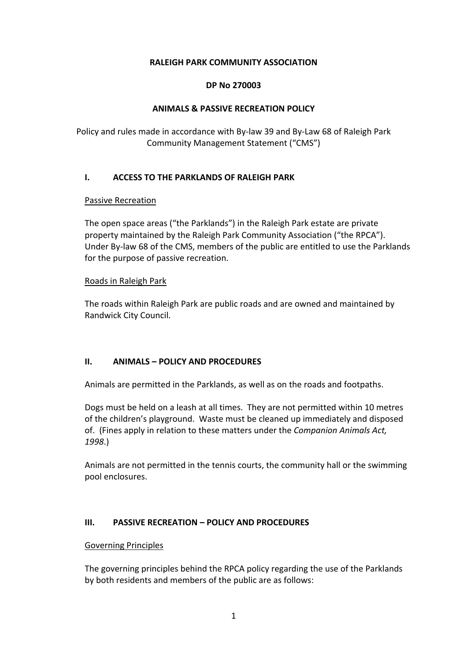## **RALEIGH PARK COMMUNITY ASSOCIATION**

### **DP No 270003**

## **ANIMALS & PASSIVE RECREATION POLICY**

Policy and rules made in accordance with By-law 39 and By-Law 68 of Raleigh Park Community Management Statement ("CMS")

## **I. ACCESS TO THE PARKLANDS OF RALEIGH PARK**

## Passive Recreation

The open space areas ("the Parklands") in the Raleigh Park estate are private property maintained by the Raleigh Park Community Association ("the RPCA"). Under By-law 68 of the CMS, members of the public are entitled to use the Parklands for the purpose of passive recreation.

## Roads in Raleigh Park

The roads within Raleigh Park are public roads and are owned and maintained by Randwick City Council.

# **II. ANIMALS – POLICY AND PROCEDURES**

Animals are permitted in the Parklands, as well as on the roads and footpaths.

Dogs must be held on a leash at all times. They are not permitted within 10 metres of the children's playground. Waste must be cleaned up immediately and disposed of. (Fines apply in relation to these matters under the *Companion Animals Act, 1998*.)

Animals are not permitted in the tennis courts, the community hall or the swimming pool enclosures.

# **III. PASSIVE RECREATION – POLICY AND PROCEDURES**

### Governing Principles

The governing principles behind the RPCA policy regarding the use of the Parklands by both residents and members of the public are as follows: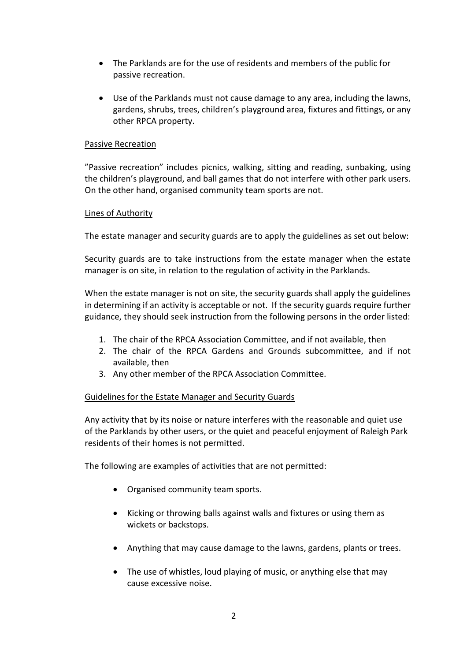- The Parklands are for the use of residents and members of the public for passive recreation.
- Use of the Parklands must not cause damage to any area, including the lawns, gardens, shrubs, trees, children's playground area, fixtures and fittings, or any other RPCA property.

## Passive Recreation

"Passive recreation" includes picnics, walking, sitting and reading, sunbaking, using the children's playground, and ball games that do not interfere with other park users. On the other hand, organised community team sports are not.

## Lines of Authority

The estate manager and security guards are to apply the guidelines as set out below:

Security guards are to take instructions from the estate manager when the estate manager is on site, in relation to the regulation of activity in the Parklands.

When the estate manager is not on site, the security guards shall apply the guidelines in determining if an activity is acceptable or not. If the security guards require further guidance, they should seek instruction from the following persons in the order listed:

- 1. The chair of the RPCA Association Committee, and if not available, then
- 2. The chair of the RPCA Gardens and Grounds subcommittee, and if not available, then
- 3. Any other member of the RPCA Association Committee.

### Guidelines for the Estate Manager and Security Guards

Any activity that by its noise or nature interferes with the reasonable and quiet use of the Parklands by other users, or the quiet and peaceful enjoyment of Raleigh Park residents of their homes is not permitted.

The following are examples of activities that are not permitted:

- Organised community team sports.
- Kicking or throwing balls against walls and fixtures or using them as wickets or backstops.
- Anything that may cause damage to the lawns, gardens, plants or trees.
- The use of whistles, loud playing of music, or anything else that may cause excessive noise.